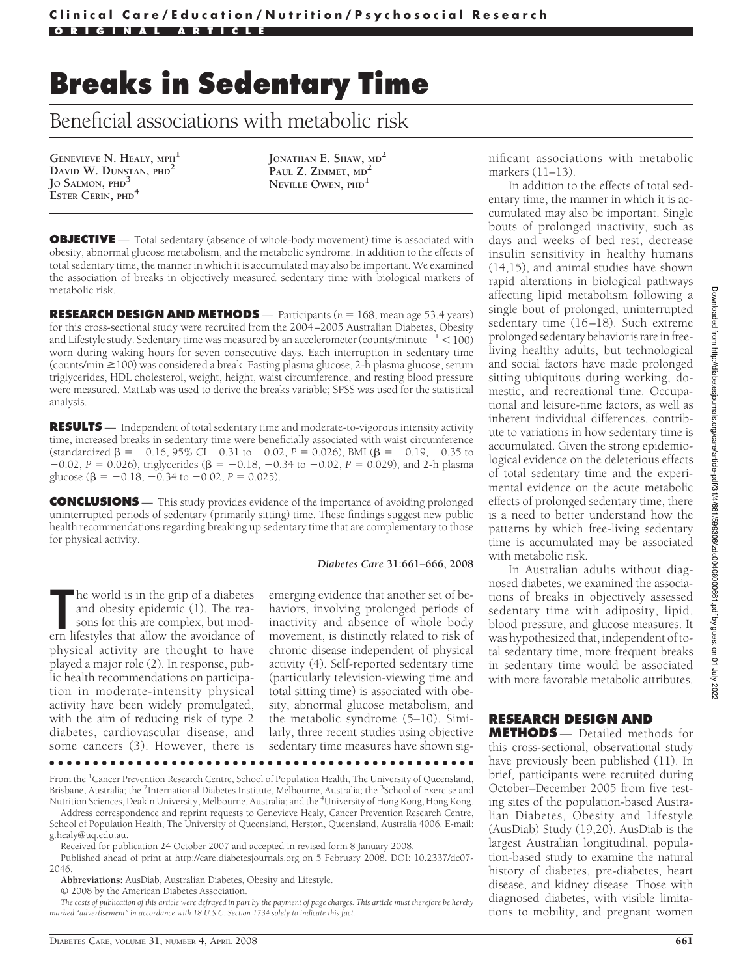# **Breaks in Sedentary Time**

# Beneficial associations with metabolic risk

**GENEVIEVE N. HEALY, MPH<sup>1</sup> DAVID W. DUNSTAN, PHD<sup>2</sup> JO SALMON, PHD<sup>3</sup> ESTER CERIN, PHD<sup>4</sup>**

**JONATHAN E. SHAW, MD<sup>2</sup> PAUL Z. ZIMMET, MD<sup>2</sup> NEVILLE OWEN, PHD<sup>1</sup>**

**OBJECTIVE** — Total sedentary (absence of whole-body movement) time is associated with obesity, abnormal glucose metabolism, and the metabolic syndrome. In addition to the effects of total sedentary time, the manner in which it is accumulated may also be important. We examined the association of breaks in objectively measured sedentary time with biological markers of metabolic risk.

**RESEARCH DESIGN AND METHODS** — Participants (*n* = 168, mean age 53.4 years) for this cross-sectional study were recruited from the 2004 –2005 Australian Diabetes, Obesity and Lifestyle study. Sedentary time was measured by an accelerometer (counts/minute $^{-1}$   $<$  100) worn during waking hours for seven consecutive days. Each interruption in sedentary time (counts/min 100) was considered a break. Fasting plasma glucose, 2-h plasma glucose, serum triglycerides, HDL cholesterol, weight, height, waist circumference, and resting blood pressure were measured. MatLab was used to derive the breaks variable; SPSS was used for the statistical analysis.

**RESULTS** — Independent of total sedentary time and moderate-to-vigorous intensity activity time, increased breaks in sedentary time were beneficially associated with waist circumference (standardized  $\beta = -0.16$ , 95% CI -0.31 to -0.02, *P* = 0.026), BMI ( $\beta = -0.19$ , -0.35 to  $-0.02$ ,  $P = 0.026$ ), triglycerides ( $\beta = -0.18$ ,  $-0.34$  to  $-0.02$ ,  $P = 0.029$ ), and 2-h plasma glucose ( $\beta = -0.18, -0.34$  to  $-0.02, P = 0.025$ ).

**CONCLUSIONS** — This study provides evidence of the importance of avoiding prolonged uninterrupted periods of sedentary (primarily sitting) time. These findings suggest new public health recommendations regarding breaking up sedentary time that are complementary to those for physical activity.

#### *Diabetes Care* **31:661–666, 2008**

The world is in the grip of a diabetes and obesity epidemic (1). The reasons for this are complex, but modern lifestyles that allow the avoidance of he world is in the grip of a diabetes and obesity epidemic (1). The reasons for this are complex, but modphysical activity are thought to have played a major role (2). In response, public health recommendations on participation in moderate-intensity physical activity have been widely promulgated, with the aim of reducing risk of type 2 diabetes, cardiovascular disease, and some cancers (3). However, there is

emerging evidence that another set of behaviors, involving prolonged periods of inactivity and absence of whole body movement, is distinctly related to risk of chronic disease independent of physical activity (4). Self-reported sedentary time (particularly television-viewing time and total sitting time) is associated with obesity, abnormal glucose metabolism, and the metabolic syndrome (5–10). Similarly, three recent studies using objective sedentary time measures have shown sig-

●●●●●●●●●●●●●●●●●●●●●●●●●●●●●●●●●●●●●●●●●●●●●●●●●

From the <sup>1</sup>Cancer Prevention Research Centre, School of Population Health, The University of Queensland, Brisbane, Australia; the <sup>2</sup>International Diabetes Institute, Melbourne, Australia; the <sup>3</sup>School of Exercise and Nutrition Sciences, Deakin University, Melbourne, Australia; and the <sup>4</sup>University of Hong Kong, Hong Kong.

Address correspondence and reprint requests to Genevieve Healy, Cancer Prevention Research Centre, School of Population Health, The University of Queensland, Herston, Queensland, Australia 4006. E-mail: g.healy@uq.edu.au.

Received for publication 24 October 2007 and accepted in revised form 8 January 2008.

Published ahead of print at http://care.diabetesjournals.org on 5 February 2008. DOI: 10.2337/dc07- 2046.

**Abbreviations:** AusDiab, Australian Diabetes, Obesity and Lifestyle.

© 2008 by the American Diabetes Association.

*The costs of publication of this article were defrayed in part by the payment of page charges. This article must therefore be hereby marked "advertisement" in accordance with 18 U.S.C. Section 1734 solely to indicate this fact.*

nificant associations with metabolic markers (11–13).

In addition to the effects of total sedentary time, the manner in which it is accumulated may also be important. Single bouts of prolonged inactivity, such as days and weeks of bed rest, decrease insulin sensitivity in healthy humans (14,15), and animal studies have shown rapid alterations in biological pathways affecting lipid metabolism following a single bout of prolonged, uninterrupted sedentary time (16-18). Such extreme prolonged sedentary behavior is rare infreeliving healthy adults, but technological and social factors have made prolonged sitting ubiquitous during working, domestic, and recreational time. Occupational and leisure-time factors, as well as inherent individual differences, contribute to variations in how sedentary time is accumulated. Given the strong epidemiological evidence on the deleterious effects of total sedentary time and the experimental evidence on the acute metabolic effects of prolonged sedentary time, there is a need to better understand how the patterns by which free-living sedentary time is accumulated may be associated with metabolic risk.

In Australian adults without diagnosed diabetes, we examined the associations of breaks in objectively assessed sedentary time with adiposity, lipid, blood pressure, and glucose measures. It was hypothesized that, independent of total sedentary time, more frequent breaks in sedentary time would be associated with more favorable metabolic attributes.

# **RESEARCH DESIGN AND**

**METHODS** — Detailed methods for this cross-sectional, observational study have previously been published (11). In brief, participants were recruited during October–December 2005 from five testing sites of the population-based Australian Diabetes, Obesity and Lifestyle (AusDiab) Study (19,20). AusDiab is the largest Australian longitudinal, population-based study to examine the natural history of diabetes, pre-diabetes, heart disease, and kidney disease. Those with diagnosed diabetes, with visible limitations to mobility, and pregnant women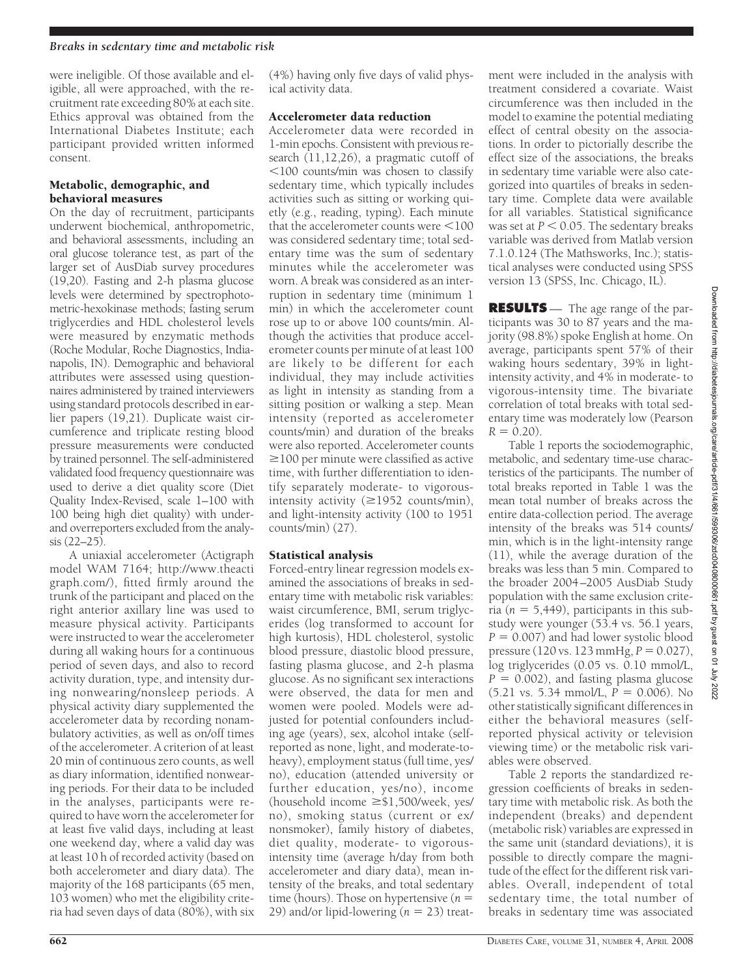#### *Breaks in sedentary time and metabolic risk*

were ineligible. Of those available and eligible, all were approached, with the recruitment rate exceeding 80% at each site. Ethics approval was obtained from the International Diabetes Institute; each participant provided written informed consent.

## Metabolic, demographic, and behavioral measures

On the day of recruitment, participants underwent biochemical, anthropometric, and behavioral assessments, including an oral glucose tolerance test, as part of the larger set of AusDiab survey procedures (19,20). Fasting and 2-h plasma glucose levels were determined by spectrophotometric-hexokinase methods; fasting serum triglycerdies and HDL cholesterol levels were measured by enzymatic methods (Roche Modular, Roche Diagnostics, Indianapolis, IN). Demographic and behavioral attributes were assessed using questionnaires administered by trained interviewers using standard protocols described in earlier papers (19,21). Duplicate waist circumference and triplicate resting blood pressure measurements were conducted by trained personnel. The self-administered validated food frequency questionnaire was used to derive a diet quality score (Diet Quality Index-Revised, scale 1–100 with 100 being high diet quality) with underand overreporters excluded from the analysis (22–25).

A uniaxial accelerometer (Actigraph model WAM 7164; http://www.theacti graph.com/), fitted firmly around the trunk of the participant and placed on the right anterior axillary line was used to measure physical activity. Participants were instructed to wear the accelerometer during all waking hours for a continuous period of seven days, and also to record activity duration, type, and intensity during nonwearing/nonsleep periods. A physical activity diary supplemented the accelerometer data by recording nonambulatory activities, as well as on/off times of the accelerometer. A criterion of at least 20 min of continuous zero counts, as well as diary information, identified nonwearing periods. For their data to be included in the analyses, participants were required to have worn the accelerometer for at least five valid days, including at least one weekend day, where a valid day was at least 10 h of recorded activity (based on both accelerometer and diary data). The majority of the 168 participants (65 men, 103 women) who met the eligibility criteria had seven days of data (80%), with six

(4%) having only five days of valid physical activity data.

## Accelerometer data reduction

Accelerometer data were recorded in 1-min epochs. Consistent with previous research (11,12,26), a pragmatic cutoff of 100 counts/min was chosen to classify sedentary time, which typically includes activities such as sitting or working quietly (e.g., reading, typing). Each minute that the accelerometer counts were  $<$ 100 was considered sedentary time; total sedentary time was the sum of sedentary minutes while the accelerometer was worn. A break was considered as an interruption in sedentary time (minimum 1 min) in which the accelerometer count rose up to or above 100 counts/min. Although the activities that produce accelerometer counts per minute of at least 100 are likely to be different for each individual, they may include activities as light in intensity as standing from a sitting position or walking a step. Mean intensity (reported as accelerometer counts/min) and duration of the breaks were also reported. Accelerometer counts  $\geq$ 100 per minute were classified as active time, with further differentiation to identify separately moderate- to vigorousintensity activity  $(\geq 1952 \text{ counts/min})$ , and light-intensity activity (100 to 1951 counts/min) (27).

# Statistical analysis

Forced-entry linear regression models examined the associations of breaks in sedentary time with metabolic risk variables: waist circumference, BMI, serum triglycerides (log transformed to account for high kurtosis), HDL cholesterol, systolic blood pressure, diastolic blood pressure, fasting plasma glucose, and 2-h plasma glucose. As no significant sex interactions were observed, the data for men and women were pooled. Models were adjusted for potential confounders including age (years), sex, alcohol intake (selfreported as none, light, and moderate-toheavy), employment status (full time, yes/ no), education (attended university or further education, yes/no), income (household income  $\geq$ \$1,500/week, yes/ no), smoking status (current or ex/ nonsmoker), family history of diabetes, diet quality, moderate- to vigorousintensity time (average h/day from both accelerometer and diary data), mean intensity of the breaks, and total sedentary time (hours). Those on hypertensive (*n* 29) and/or lipid-lowering  $(n = 23)$  treatment were included in the analysis with treatment considered a covariate. Waist circumference was then included in the model to examine the potential mediating effect of central obesity on the associations. In order to pictorially describe the effect size of the associations, the breaks in sedentary time variable were also categorized into quartiles of breaks in sedentary time. Complete data were available for all variables. Statistical significance was set at  $P < 0.05$ . The sedentary breaks variable was derived from Matlab version 7.1.0.124 (The Mathsworks, Inc.); statistical analyses were conducted using SPSS version 13 (SPSS, Inc. Chicago, IL).

**RESULTS** — The age range of the participants was 30 to 87 years and the majority (98.8%) spoke English at home. On average, participants spent 57% of their waking hours sedentary, 39% in lightintensity activity, and 4% in moderate- to vigorous-intensity time. The bivariate correlation of total breaks with total sedentary time was moderately low (Pearson  $R = 0.20$ .

Table 1 reports the sociodemographic, metabolic, and sedentary time-use characteristics of the participants. The number of total breaks reported in Table 1 was the mean total number of breaks across the entire data-collection period. The average intensity of the breaks was 514 counts/ min, which is in the light-intensity range (11), while the average duration of the breaks was less than 5 min. Compared to the broader 2004 –2005 AusDiab Study population with the same exclusion criteria ( $n = 5,449$ ), participants in this substudy were younger (53.4 vs. 56.1 years,  $P = 0.007$ ) and had lower systolic blood pressure (120 vs. 123 mmHg,  $P = 0.027$ ), log triglycerides (0.05 vs. 0.10 mmol/L,  $P = 0.002$ ), and fasting plasma glucose  $(5.21 \text{ vs. } 5.34 \text{ mmol/L}, P = 0.006)$ . No other statistically significant differences in either the behavioral measures (selfreported physical activity or television viewing time) or the metabolic risk variables were observed.

Table 2 reports the standardized regression coefficients of breaks in sedentary time with metabolic risk. As both the independent (breaks) and dependent (metabolic risk) variables are expressed in the same unit (standard deviations), it is possible to directly compare the magnitude of the effect for the different risk variables. Overall, independent of total sedentary time, the total number of breaks in sedentary time was associated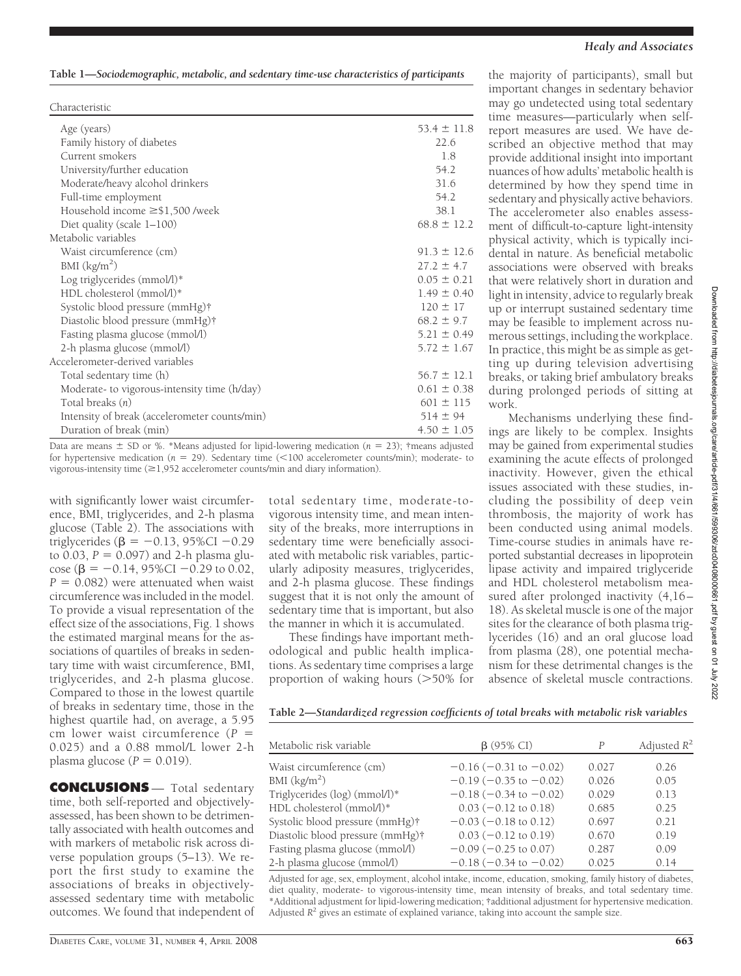| Characteristic                                |                 |
|-----------------------------------------------|-----------------|
| Age (years)                                   | $53.4 \pm 11.8$ |
| Family history of diabetes                    | 22.6            |
| Current smokers                               | 1.8             |
| University/further education                  | 54.2            |
| Moderate/heavy alcohol drinkers               | 31.6            |
| Full-time employment                          | 54.2            |
| Household income $\geq$ \$1,500 /week         | 38.1            |
| Diet quality (scale $1-100$ )                 | $68.8 \pm 12.2$ |
| Metabolic variables                           |                 |
| Waist circumference (cm)                      | $91.3 \pm 12.6$ |
| BMI $(kg/m2)$                                 | $27.2 \pm 4.7$  |
| Log triglycerides (mmol/l)*                   | $0.05 \pm 0.21$ |
| HDL cholesterol (mmol/l)*                     | $1.49 \pm 0.40$ |
| Systolic blood pressure (mmHg)†               | $120 \pm 17$    |
| Diastolic blood pressure (mmHg)†              | $68.2 \pm 9.7$  |
| Fasting plasma glucose (mmol/l)               | $5.21 \pm 0.49$ |
| 2-h plasma glucose (mmol/l)                   | $5.72 \pm 1.67$ |
| Accelerometer-derived variables               |                 |
| Total sedentary time (h)                      | $56.7 \pm 12.1$ |
| Moderate- to vigorous-intensity time (h/day)  | $0.61 \pm 0.38$ |
| Total breaks $(n)$                            | $601 \pm 115$   |
| Intensity of break (accelerometer counts/min) | $514 \pm 94$    |
| Duration of break (min)                       | $4.50 \pm 1.05$ |

Data are means  $\pm$  SD or %. \*Means adjusted for lipid-lowering medication ( $n = 23$ ); †means adjusted for hypertensive medication ( $n = 29$ ). Sedentary time (<100 accelerometer counts/min); moderate- to vigorous-intensity time  $(\geq 1,952$  accelerometer counts/min and diary information).

with significantly lower waist circumference, BMI, triglycerides, and 2-h plasma glucose (Table 2). The associations with triglycerides ( $\beta = -0.13, 95\%$ CI -0.29 to  $0.03$ ,  $P = 0.097$ ) and 2-h plasma glucose ( $\beta = -0.14$ , 95%CI -0.29 to 0.02,  $P = 0.082$ ) were attenuated when waist circumference was included in the model. To provide a visual representation of the effect size of the associations, Fig. 1 shows the estimated marginal means for the associations of quartiles of breaks in sedentary time with waist circumference, BMI, triglycerides, and 2-h plasma glucose. Compared to those in the lowest quartile of breaks in sedentary time, those in the highest quartile had, on average, a 5.95 cm lower waist circumference (*P* 0.025) and a 0.88 mmol/L lower 2-h plasma glucose  $(P = 0.019)$ .

**CONCLUSIONS** — Total sedentary time, both self-reported and objectivelyassessed, has been shown to be detrimentally associated with health outcomes and with markers of metabolic risk across diverse population groups (5–13). We report the first study to examine the associations of breaks in objectivelyassessed sedentary time with metabolic outcomes. We found that independent of

total sedentary time, moderate-tovigorous intensity time, and mean intensity of the breaks, more interruptions in sedentary time were beneficially associated with metabolic risk variables, particularly adiposity measures, triglycerides, and 2-h plasma glucose. These findings suggest that it is not only the amount of sedentary time that is important, but also the manner in which it is accumulated.

These findings have important methodological and public health implications. As sedentary time comprises a large proportion of waking hours  $(>50\%$  for

# the majority of participants), small but important changes in sedentary behavior may go undetected using total sedentary time measures—particularly when selfreport measures are used. We have described an objective method that may provide additional insight into important nuances of how adults' metabolic health is determined by how they spend time in sedentary and physically active behaviors. The accelerometer also enables assessment of difficult-to-capture light-intensity physical activity, which is typically incidental in nature. As beneficial metabolic associations were observed with breaks that were relatively short in duration and light in intensity, advice to regularly break up or interrupt sustained sedentary time may be feasible to implement across nu-

merous settings, including the workplace. In practice, this might be as simple as getting up during television advertising breaks, or taking brief ambulatory breaks during prolonged periods of sitting at work.

Mechanisms underlying these findings are likely to be complex. Insights may be gained from experimental studies examining the acute effects of prolonged inactivity. However, given the ethical issues associated with these studies, including the possibility of deep vein thrombosis, the majority of work has been conducted using animal models. Time-course studies in animals have reported substantial decreases in lipoprotein lipase activity and impaired triglyceride and HDL cholesterol metabolism measured after prolonged inactivity  $(4,16 -$ 18). As skeletal muscle is one of the major sites for the clearance of both plasma triglycerides (16) and an oral glucose load from plasma (28), one potential mechanism for these detrimental changes is the absence of skeletal muscle contractions.

#### **Table 2—***Standardized regression coefficients of total breaks with metabolic risk variables*

| Metabolic risk variable            | $\beta$ (95% CI)                | P     | Adjusted $R^2$ |
|------------------------------------|---------------------------------|-------|----------------|
| Waist circumference (cm)           | $-0.16(-0.31$ to $-0.02$ )      | 0.027 | 0.26           |
| BMI $\frac{\text{kg}}{\text{m}^2}$ | $-0.19$ ( $-0.35$ to $-0.02$ )  | 0.026 | 0.05           |
| Triglycerides (log) (mmol/l)*      | $-0.18$ ( $-0.34$ to $-0.02$ )  | 0.029 | 0.13           |
| HDL cholesterol (mmol/l)*          | $0.03 (-0.12 \text{ to } 0.18)$ | 0.685 | 0.25           |
| Systolic blood pressure (mmHg)†    | $-0.03$ ( $-0.18$ to 0.12)      | 0.697 | 0.21           |
| Diastolic blood pressure (mmHg)†   | $0.03 (-0.12 \text{ to } 0.19)$ | 0.670 | 0.19           |
| Fasting plasma glucose (mmol/l)    | $-0.09$ ( $-0.25$ to 0.07)      | 0.287 | 0.09           |
| 2-h plasma glucose (mmol/l)        | $-0.18$ ( $-0.34$ to $-0.02$ )  | 0.025 | 0.14           |

Adjusted for age, sex, employment, alcohol intake, income, education, smoking, family history of diabetes, diet quality, moderate- to vigorous-intensity time, mean intensity of breaks, and total sedentary time. \*Additional adjustment for lipid-lowering medication; †additional adjustment for hypertensive medication. Adjusted  $R^2$  gives an estimate of explained variance, taking into account the sample size.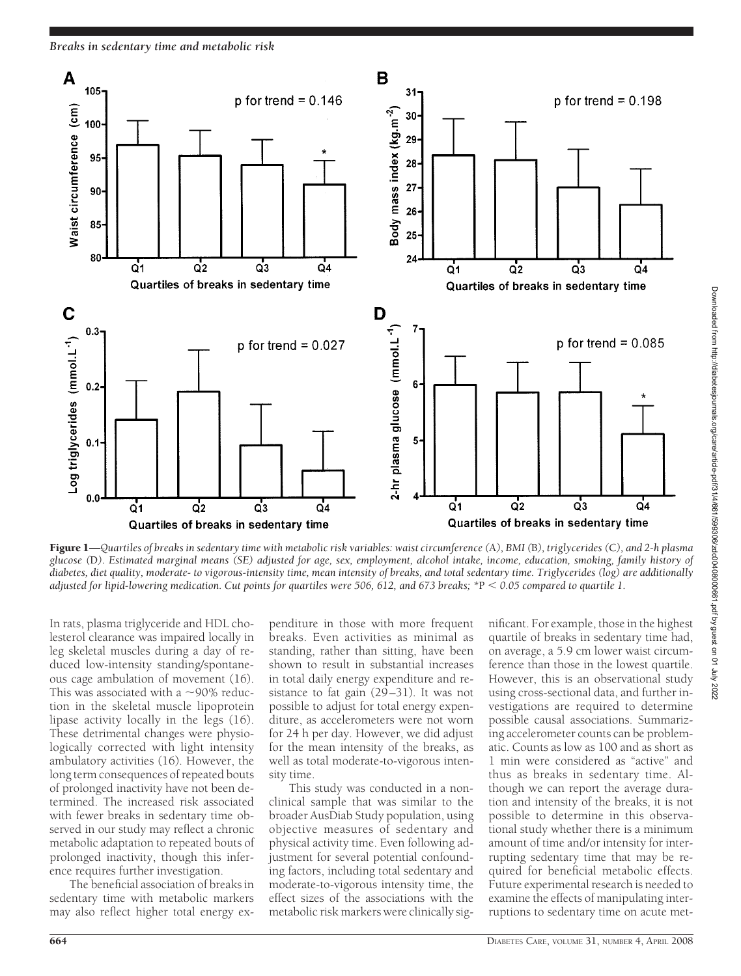*Breaks in sedentary time and metabolic risk*



Figure 1—*Quartiles of breaks in sedentary time with metabolic risk variables: waist circumference (*A*), BMI (*B*), triglycerides (*C*), and 2-h plasma glucose (*D*). Estimated marginal means (SE) adjusted for age, sex, employment, alcohol intake, income, education, smoking, family history of diabetes, diet quality, moderate- to vigorous-intensity time, mean intensity of breaks, and total sedentary time. Triglycerides (log) are additionally adjusted for lipid-lowering medication. Cut points for quartiles were 506, 612, and 673 breaks; \**P *0.05 compared to quartile 1.*

In rats, plasma triglyceride and HDL cholesterol clearance was impaired locally in leg skeletal muscles during a day of reduced low-intensity standing/spontaneous cage ambulation of movement (16). This was associated with a  $\sim$ 90% reduction in the skeletal muscle lipoprotein lipase activity locally in the legs (16). These detrimental changes were physiologically corrected with light intensity ambulatory activities (16). However, the long term consequences of repeated bouts of prolonged inactivity have not been determined. The increased risk associated with fewer breaks in sedentary time observed in our study may reflect a chronic metabolic adaptation to repeated bouts of prolonged inactivity, though this inference requires further investigation.

The beneficial association of breaks in sedentary time with metabolic markers may also reflect higher total energy ex-

penditure in those with more frequent breaks. Even activities as minimal as standing, rather than sitting, have been shown to result in substantial increases in total daily energy expenditure and resistance to fat gain (29–31). It was not possible to adjust for total energy expenditure, as accelerometers were not worn for 24 h per day. However, we did adjust for the mean intensity of the breaks, as well as total moderate-to-vigorous intensity time.

This study was conducted in a nonclinical sample that was similar to the broader AusDiab Study population, using objective measures of sedentary and physical activity time. Even following adjustment for several potential confounding factors, including total sedentary and moderate-to-vigorous intensity time, the effect sizes of the associations with the metabolic risk markers were clinically significant. For example, those in the highest quartile of breaks in sedentary time had, on average, a 5.9 cm lower waist circumference than those in the lowest quartile. However, this is an observational study using cross-sectional data, and further investigations are required to determine possible causal associations. Summarizing accelerometer counts can be problematic. Counts as low as 100 and as short as 1 min were considered as "active" and thus as breaks in sedentary time. Although we can report the average duration and intensity of the breaks, it is not possible to determine in this observational study whether there is a minimum amount of time and/or intensity for interrupting sedentary time that may be required for beneficial metabolic effects. Future experimental research is needed to examine the effects of manipulating interruptions to sedentary time on acute met-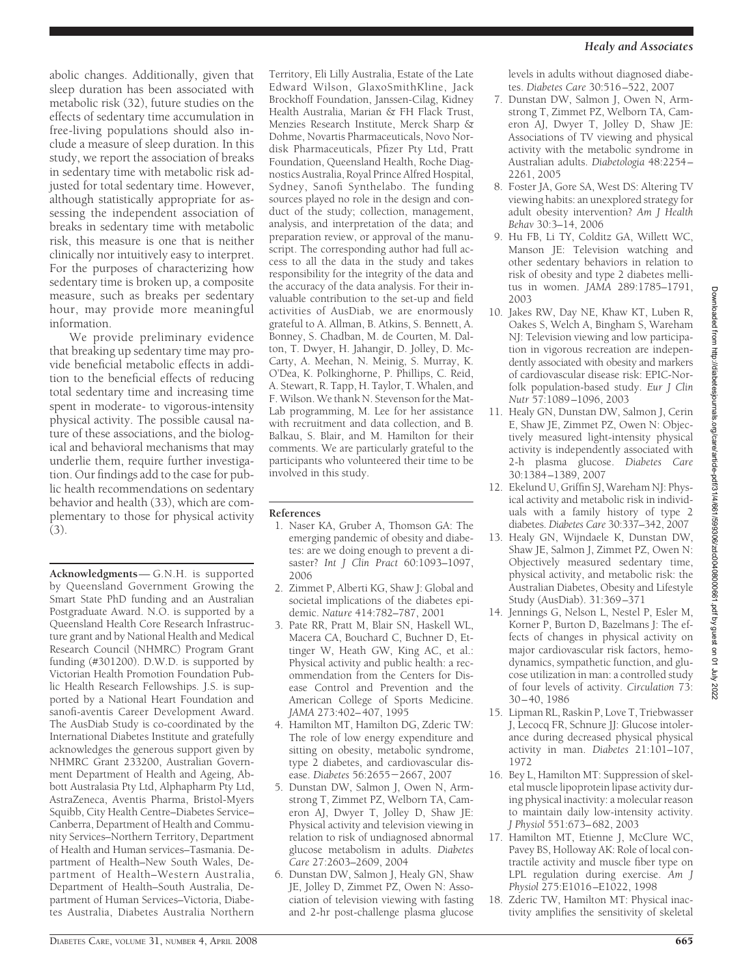abolic changes. Additionally, given that sleep duration has been associated with metabolic risk (32), future studies on the effects of sedentary time accumulation in free-living populations should also include a measure of sleep duration. In this study, we report the association of breaks in sedentary time with metabolic risk adjusted for total sedentary time. However, although statistically appropriate for assessing the independent association of breaks in sedentary time with metabolic risk, this measure is one that is neither clinically nor intuitively easy to interpret. For the purposes of characterizing how sedentary time is broken up, a composite measure, such as breaks per sedentary hour, may provide more meaningful information.

We provide preliminary evidence that breaking up sedentary time may provide beneficial metabolic effects in addition to the beneficial effects of reducing total sedentary time and increasing time spent in moderate- to vigorous-intensity physical activity. The possible causal nature of these associations, and the biological and behavioral mechanisms that may underlie them, require further investigation. Our findings add to the case for public health recommendations on sedentary behavior and health (33), which are complementary to those for physical activity (3).

**Acknowledgments**— G.N.H. is supported by Queensland Government Growing the Smart State PhD funding and an Australian Postgraduate Award. N.O. is supported by a Queensland Health Core Research Infrastructure grant and by National Health and Medical Research Council (NHMRC) Program Grant funding (#301200). D.W.D. is supported by Victorian Health Promotion Foundation Public Health Research Fellowships. J.S. is supported by a National Heart Foundation and sanofi-aventis Career Development Award. The AusDiab Study is co-coordinated by the International Diabetes Institute and gratefully acknowledges the generous support given by NHMRC Grant 233200, Australian Government Department of Health and Ageing, Abbott Australasia Pty Ltd, Alphapharm Pty Ltd, AstraZeneca, Aventis Pharma, Bristol-Myers Squibb, City Health Centre–Diabetes Service– Canberra, Department of Health and Community Services–Northern Territory, Department of Health and Human services–Tasmania. Department of Health–New South Wales, Department of Health–Western Australia, Department of Health–South Australia, Department of Human Services–Victoria, Diabetes Australia, Diabetes Australia Northern

Territory, Eli Lilly Australia, Estate of the Late Edward Wilson, GlaxoSmithKline, Jack Brockhoff Foundation, Janssen-Cilag, Kidney Health Australia, Marian & FH Flack Trust, Menzies Research Institute, Merck Sharp & Dohme, Novartis Pharmaceuticals, Novo Nordisk Pharmaceuticals, Pfizer Pty Ltd, Pratt Foundation, Queensland Health, Roche Diagnostics Australia, Royal Prince Alfred Hospital, Sydney, Sanofi Synthelabo. The funding sources played no role in the design and conduct of the study; collection, management, analysis, and interpretation of the data; and preparation review, or approval of the manuscript. The corresponding author had full access to all the data in the study and takes responsibility for the integrity of the data and the accuracy of the data analysis. For their invaluable contribution to the set-up and field activities of AusDiab, we are enormously grateful to A. Allman, B. Atkins, S. Bennett, A. Bonney, S. Chadban, M. de Courten, M. Dalton, T. Dwyer, H. Jahangir, D. Jolley, D. Mc-Carty, A. Meehan, N. Meinig, S. Murray, K. O'Dea, K. Polkinghorne, P. Phillips, C. Reid, A. Stewart, R. Tapp, H. Taylor, T. Whalen, and F. Wilson. We thank N. Stevenson for the Mat-Lab programming, M. Lee for her assistance with recruitment and data collection, and B. Balkau, S. Blair, and M. Hamilton for their comments. We are particularly grateful to the participants who volunteered their time to be involved in this study.

#### **References**

- 1. Naser KA, Gruber A, Thomson GA: The emerging pandemic of obesity and diabetes: are we doing enough to prevent a disaster? *Int J Clin Pract* 60:1093–1097, 2006
- 2. Zimmet P, Alberti KG, Shaw J: Global and societal implications of the diabetes epidemic. *Nature* 414:782–787, 2001
- 3. Pate RR, Pratt M, Blair SN, Haskell WL, Macera CA, Bouchard C, Buchner D, Ettinger W, Heath GW, King AC, et al.: Physical activity and public health: a recommendation from the Centers for Disease Control and Prevention and the American College of Sports Medicine. *JAMA* 273:402– 407, 1995
- 4. Hamilton MT, Hamilton DG, Zderic TW: The role of low energy expenditure and sitting on obesity, metabolic syndrome, type 2 diabetes, and cardiovascular disease. *Diabetes* 56:2655-2667, 2007
- 5. Dunstan DW, Salmon J, Owen N, Armstrong T, Zimmet PZ, Welborn TA, Cameron AJ, Dwyer T, Jolley D, Shaw JE: Physical activity and television viewing in relation to risk of undiagnosed abnormal glucose metabolism in adults. *Diabetes Care* 27:2603–2609, 2004
- 6. Dunstan DW, Salmon J, Healy GN, Shaw JE, Jolley D, Zimmet PZ, Owen N: Association of television viewing with fasting and 2-hr post-challenge plasma glucose

levels in adults without diagnosed diabetes. *Diabetes Care* 30:516 –522, 2007

- 7. Dunstan DW, Salmon J, Owen N, Armstrong T, Zimmet PZ, Welborn TA, Cameron AJ, Dwyer T, Jolley D, Shaw JE: Associations of TV viewing and physical activity with the metabolic syndrome in Australian adults. *Diabetologia* 48:2254 – 2261, 2005
- 8. Foster JA, Gore SA, West DS: Altering TV viewing habits: an unexplored strategy for adult obesity intervention? *Am J Health Behav* 30:3–14, 2006
- 9. Hu FB, Li TY, Colditz GA, Willett WC, Manson JE: Television watching and other sedentary behaviors in relation to risk of obesity and type 2 diabetes mellitus in women. *JAMA* 289:1785–1791, 2003
- 10. Jakes RW, Day NE, Khaw KT, Luben R, Oakes S, Welch A, Bingham S, Wareham NJ: Television viewing and low participation in vigorous recreation are independently associated with obesity and markers of cardiovascular disease risk: EPIC-Norfolk population-based study. *Eur J Clin Nutr* 57:1089 –1096, 2003
- 11. Healy GN, Dunstan DW, Salmon J, Cerin E, Shaw JE, Zimmet PZ, Owen N: Objectively measured light-intensity physical activity is independently associated with 2-h plasma glucose. *Diabetes Care* 30:1384 –1389, 2007
- 12. Ekelund U, Griffin SJ, Wareham NJ: Physical activity and metabolic risk in individuals with a family history of type 2 diabetes. *Diabetes Care* 30:337–342, 2007
- 13. Healy GN, Wijndaele K, Dunstan DW, Shaw JE, Salmon J, Zimmet PZ, Owen N: Objectively measured sedentary time, physical activity, and metabolic risk: the Australian Diabetes, Obesity and Lifestyle Study (AusDiab). 31:369 –371
- 14. Jennings G, Nelson L, Nestel P, Esler M, Korner P, Burton D, Bazelmans J: The effects of changes in physical activity on major cardiovascular risk factors, hemodynamics, sympathetic function, and glucose utilization in man: a controlled study of four levels of activity. *Circulation* 73: 30 – 40, 1986
- 15. Lipman RL, Raskin P, Love T, Triebwasser J, Lecocq FR, Schnure JJ: Glucose intolerance during decreased physical physical activity in man. *Diabetes* 21:101–107, 1972
- 16. Bey L, Hamilton MT: Suppression of skeletal muscle lipoprotein lipase activity during physical inactivity: a molecular reason to maintain daily low-intensity activity. *J Physiol* 551:673– 682, 2003
- 17. Hamilton MT, Etienne J, McClure WC, Pavey BS, Holloway AK: Role of local contractile activity and muscle fiber type on LPL regulation during exercise. *Am J Physiol* 275:E1016 –E1022, 1998
- 18. Zderic TW, Hamilton MT: Physical inactivity amplifies the sensitivity of skeletal